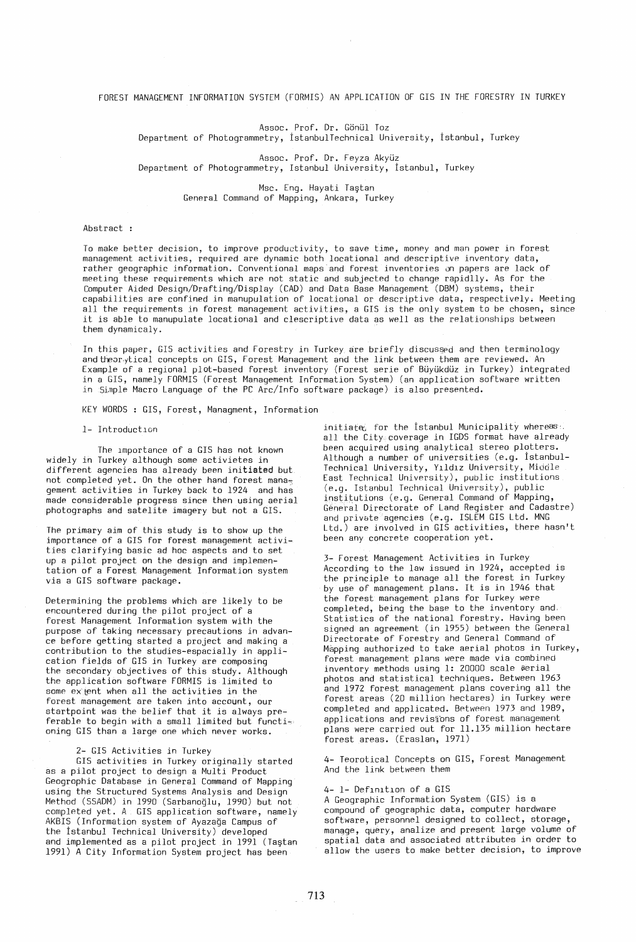FOREST MANAGEMENT INFORMATION SYSTEM (FORMIS) AN APPLICATION OF GIS IN THE FORESTRY IN TURKEY

 $\sim$ 

Assoc. Prof. Dr. Gönül Toz

Department of Photogrammetry, Istanbul Technical University, Istanbul, Turkey

Assoc. Prof. Dr. Feyza Akyüz Department of Photogrammetry, Istanbul University, istanbul, Turkey

> Msc. Eng. Hayati Ta§tan General Command of Mapping, Ankara, Turkey

## Abstract :

To make better decision, to improve productivity, to save time, money and man power in forest management activities, required are dynamic both locational and descriptive inventory data, rather geographic information. Conventional maps and forest inventories on papers are lack of meeting these requirements which are not static and subjected to change rapidlly. As for the Computer Aided Design/Drafting/Display (CAD) and Data Base Management (DBM) systems, their capabilities are confined in manupulation of locational or descriptive data, respectively. Meeting all the requirements in forest management activities, a GIS is the only system to be chosen, since<br>it is able to manupulate locational and clescriptive data as well as the relationships between them dynamicaly. .

In this paper, GIS activities and Forestry in Turkey are briefly discussed and then terminology and theor.ytical concepts on GIS, Forest Management and the link between them are reviewed. An  $\epsilon$ xample of a regional plot-based forest inventory (Forest serie of Büyükdüz in Turkey) integrated In a GIS, namely FORMIS (Forest Management Information System) (an application software written in Sinple Macro Language of the PC Arc/Info software package) is also presented.

KEY WORDS: GIS, Forest, Managment, Information

1- Introduction

The lmportance of a GIS has not known widely in Turkey although some activietes in different agencies has already been initiated but not completed yet. On the other hand forest mana $<sub>z</sub>$ </sub> gement activities in Turkey back to 1924 and has made considerable progress since then using aerial photographs and satelite imagery but not a GIS.

The primary aim of this study is to show up the importance of a GIS for forest management activities clarifying basic ad hoc aspects and to set up a pilot project on the design and implementation of a Forest Management Information system via a GIS software package.

Determining the problems which are likely to be encountered during the pilot project of a forest Management Information system with the purpose of taking necessary precautions in advance before getting started a project and making a contribution to the studies-espacially in application fields of GIS in Turkey are composing the secondary objectives of this study. Although the application software FORMIS is limited to some extent when all the activities in the forest management are taken into account, our startpoint was the belief that it is always preferable to begin with a small limited but functioning GIS than a large one which never works.

## 2- GIS Activities in Turkey

GIS activities in Turkey originally started as a pilot project to design a Multi Product Geogrophic Database in General Command of Mapping using the Structured Systems Analysis and Design Method (SSADM) in 1990 (Sarbanoglu, 1990) but not completed yet. A GIS application software, namely AKBIS (Information system of Ayazağa Campus of the Istanbul Technical University) developed and implemented as a pilot project in 1991 (Ta§tan 1991) A City Ihformation System project has been

initiated for the Istanbul Municipality whereas: all the City coverage in IGDS format have already been acquired using analytical stereo plotters. Although a number of universities (e.g. istanbul-Technical University, Yıldız University, Middle East Technical University), public institutions (e.g. Istanbul Technical University), public institutions (e.g. General Command of Mapping, General Directorate of Land Register and Cadastre) and private agencies (e.g. ISLEM GIS Ltd. MNG Ltd.) are involved in GIS activities, there hasn't been any concrete cooperation yet.

3- Forest Management Activities in Turkey According to the law issued in 1924, accepted is the principle to manage all the forest in Turkey by use of management plans. It is in 1946 that the forest management plans for Turkey were completed, being the base to the inventory and, Statistics of the national forestry. Having been signed an agreement (in 1955) between the General Directorate of Forestry and General Command of Mapping authorized to take aerial photos in Turkey, forest management plans were made via combined inventory methods using 1: 20000 scale &erial<br>photos and statistical techniques. Between 1963 and 1972 forest management plans covering all the forest areas (20 million hectares) in Turkey were completed and applicated. Between 1973 and 1989, applications and revisions of forest management plans were carried out for 11.135 million hectare forest areas. (Eraslan, 1971)

4- Teorotical Concepts on GIS, Forest Management And the link between them

## 4- 1- Definition of a GIS

A Geographic Information System (GIS) is a compound of geographic data, computer hardware software, personnel designed to collect, storage, manage, query, analize and present large volume of spatial data and associated attributes in order to allow the users to make better decision, to improve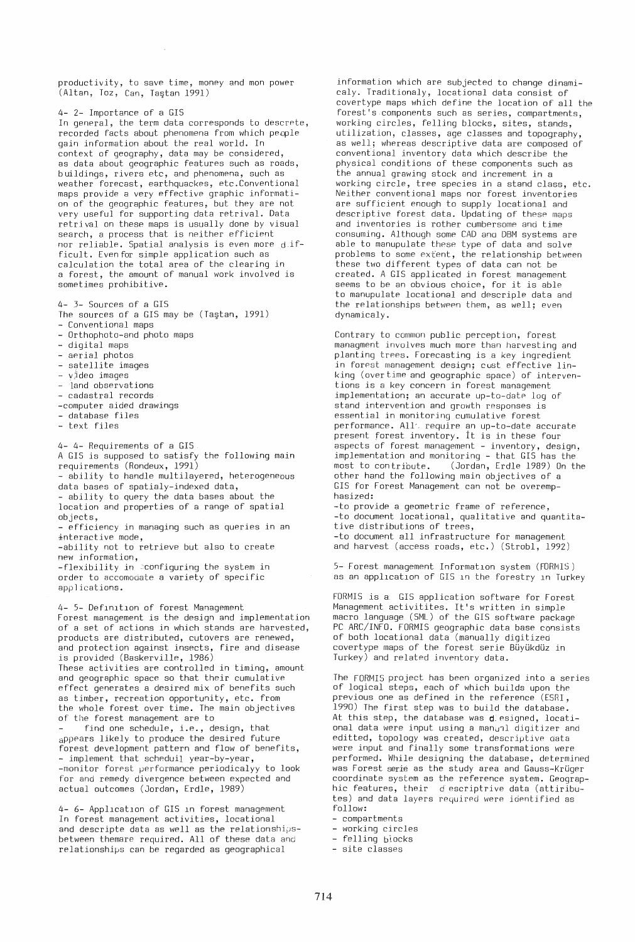productivity, to save time, money and mon power (Altan, Toz, Can, Ta§tan 1991)

 $\mathcal{A}^{\mathcal{A}}$ 

4- 2- Importance of a GIS

In general, the term data corresponds to descrete, recorded facts about phenomena from which peqple gain information about the real world. In context of geography, data may be considered, as data about geographic features such as roads, buildings, rivers etc, and phenomena, such as weather forecast, earthquackes, etc. Conventional maps provide a very effective graphic information of the geographic features, but they are not very useful for supporting data retrival. Data retrival on these maps is usually done by visual search, a process that is neither efficient nor reliable. Spatial analysis is even more difficult. Evenfor simple application such as calculation the total area of the clearing in a forest, the amount of manual work involved is sometimes prohibitive.

4- 3- Sources of a GIS

- The sources of a GIS may be (Ta§tan, 1991) - Conventional maps
- Orthophoto-and photo maps
- digital maps
- aerial photos
- satellite images
- $-$  video images
- land observations
- cadastral records
- -computer aided drawings
- database files
- text files

4- 4- Requirements of a GIS

A GIS is supposed to satisfy the following main requirements (Rondeux, 1991)

- ability to handle multilayered, heterogeneous data bases of spatialy-indexed data,

- ability to query the data bases about the location and properties of a range of spatial objects.

- efficiency in managing such as queries in an interactive mode,

-ability not to retrieve but also to create new information,

-flexibility in :configuring the system in order to accomodate a variety of specific applications.

4- 5- DefInItIon of forest Management Forest management is the design and implementation of a set of actions in which stands are harvested, products are distributed, cutovers are renewed, and protection against insects, fire and disease is provided (Baskerville, 1986) These activities are controlled in timing, amount and geographic space so that their cumulative effect generates a desired mix of benefits such as timber, recreation opportunity, etc. from the whole forest over time. The main objectives of the forest management are to

find one schedule, i.e., design, that appears likely to produce the desired future forest development pattern and flow of benefits, - implement that scheduil year-by-year, -monitor forest performance periodicalyy to look for and remedy divergence between expected and actual outcomes (Jordan, Erdle, 1989)

4- 6- Application of GIS in forest management In forest management activities, locational and descripte data as well as the relationshipsbetween themare required. All of these data and relationships can be regarded as geographical

information which are subjected to change dinamicaly. Traditionaly, locational data consist of covertype maps which define the location of all the forest's components such as series, compartments, working circles, felling blocks, sites, stands, utilization, classes, age classes and topography, as well; whereas descriptive data are composed of conventional inventory data which describe the physical conditions of these components such as the annual grawing stock and increment in a working circle, tree species in a stand class, etc. Neither conventional maps nor forest inventories are sufficient enough to supply locational and descriptive forest data. Updating of these maps and inventories is rother cumbersome and time consuming. Although some CAD ana DBM systems are able to manupulate these type of data and solve problems to some extent, the relationship between these two different types of data can not be created. A GIS applicated in forest management seems to be an obvious choice, for it is able to manupulate locational and descriple data and the relationships between them, as well; even dynamicaly.

Contrary to common public perception, forest managment involves much more than harvesting and planting trees. Forecasting is a key ingredient in forest management design; cust effective linking (overtime and geographic space) of interventions is a key concern in forest management implementation; an accurate up-to-date log of stand intervention and growth responses is essential in monitoring cumulative forest performance. All', require an up-to-date accurate present forest inventory. It is in these four aspects of forest management - inventory, design, implementation and monitoring - that GIS has the most to contribute. (Jordan, Erdle 1989) On the other hand the following main objectives of a GIS for Forest Management can not be overemphasized:

-to provide a geometric frame of reference, -to document locational, qualitative and quantitative distributions of trees, -to document all infrastructure for management and harvest (access roads, etc.) (Strobl, 1992)

5- Forest management Information system (FORMIS) as an application of GIS in the forestry in Turkey

FORMIS is a GIS application software for Forest Management activitites. It's written in simple macro language (SML) of the GIS software package PC ARC/INFO. FORMIS geographic data base consists of both locational data (manually digitized covertype maps of the forest serie Buyukduz in Turkey) and related inventory data.

The FORMIS project has been organized into a series of logical steps, each of which builds upon the previous one as defined in the reference (ESRI, 1990) The first step was to build the database. At this step, the database was designed, locational data were input using a manual digitizer and editted, topology was created, descriptive data were input and finally some transformations were performed. While designing the database, determined was Forest serie as the study area and Gauss-Krüger coordinate system as the reference system. Geographic features, their d escriptrive data (attiributes) and data layers required were identified as follow:

- compartments

- working circles

- felling blocks

- site classes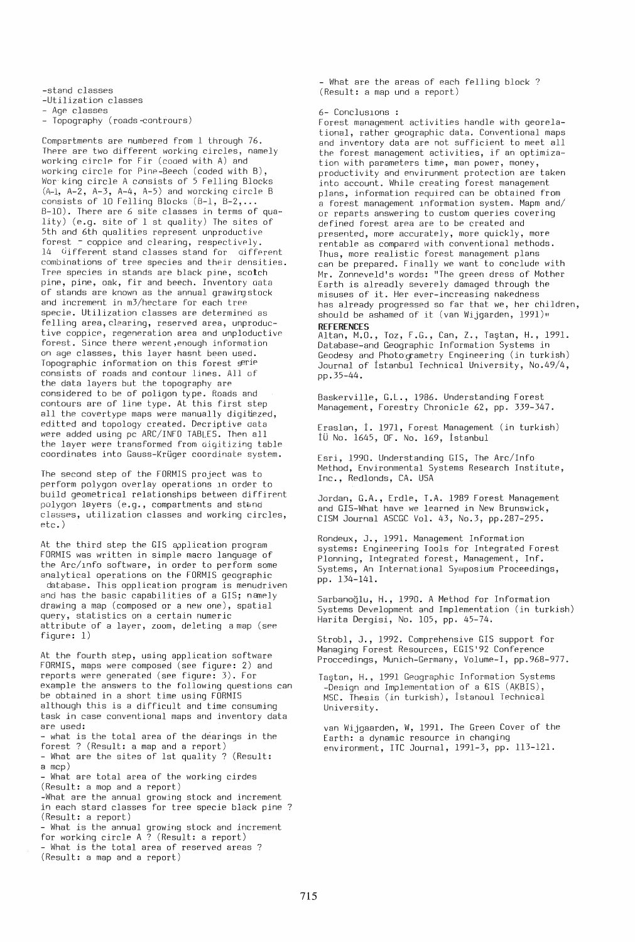-stand classes

-Utilization classes

Age classes

- Topography (roads -contrours)

Compartments are numbered from 1 through 76. There are two different working circles, namely working circle for Fir (cooed with A) and working circle for Pine-Beech (coded with B), Wor king circle A cDnsists of S Felling Blocks  $(A-1, A-2, A-3, A-4, A-5)$  and worcking circle B consists of 10 Felling Blocks  $(B-1, B-2, \ldots)$ B-IO). There are 6 site classes in terms of quality) (e.g. site of 1 st quality) The sites of Sth and 6th qualities represent unproductive forest - coppice and clearing, respectively. 14 different stand classes stand for different combinations of tree species and their densities. Tree species in stands are black pine, scotch pine, pine, oak, fir and beech. Inventory oata of stands are known as the annual grawingstock and increment in m3/hectare for each tree specie. Utilization classes are determined as felling area, clearing, reserved area, unproductive coppice, regeneration area and unploductive forest. Since there werent,enough information on age classes, this layer hasnt been used. Topographic information on this forest serie consists of roads and contour lines. All of the data layers but the topography are considered to be of poligon type. Roads and contours are of line type. At this first step all the covertype maps were manually digitiezed, editted and topology created. Decriptive data were added using pc ARC/INFO TABLES. Then all the layer were transformed from oigitizing table coordinates into Gauss-KrUger coordinate system.

The second step of the FORMIS project was to perform polygon overlay operations In order to build geometrical relationships between diffirent polygon layers (e.g., compartments and stand classes, utilization classes and working circles, etc.)

At the third step the GIS application program FORMIS was written in simple macro language of the Arc/lnfo software, in order to perform some analytical operations on the FORMIS geographic database. This opplication program is menudriven and has the basic capabilities of a GIS; namely drawing a map (composed or a new one), spatial query, statistics on a certain numeric attribute of a layer, zoom, deleting a map (see figure: 1)

At the fourth step, using application software FORMIS, maps were composed (see figure: 2) and reports were generated (see figure: 3). For example the answers to the following questions can be obtained in a short time using FORMIS although this is a difficult and time consuming task in case conventional maps and inventory data are used: - what is the total area of the déarings in the forest? (Result: a map and a report) - What are the sites of 1st quality? (Result: a mcp) - What are total area of the working cirdes (Result: a mop and a report)

-What are the annual growing stock and increment in each stard classes for tree specie black pine ? (Result: a report)

- What is the annual growing stock and increment for working circle A ? (Result: a report) - What is the total area of reserved areas ? (Result: a map and a report)

- What are the areas of each felling block ? (Result: a map und a report)

## 6- Concluslons

Forest management activities handle with georelational, rather geographic data. Conventional maps and inventory data are not sufficient to meet all the forest management activities, if an optimization with parameters time, man power, money, productivity and envirunment protection are taken into account. While creating forest management plans, information required can be obtained from a forest management lnformation system. Mapm and/ or reparts answering to custom queries covering defined forest area are to be created and presented, more accurately, more quickly, more rentable as compared with conventional methods. Thus, more realistic forest management plans can be prepared. Finally we want to conclude with Mr. Zonneveld's words: "The green dress of Mother Earth is alreadly severely damaged through the misuses of it. Her ever-increasing nakedness has already progressed so far that we, her children, should be ashamed of it (van Wijgarden, 1991)" **REFERENCES** 

Altan, M.O., Toz, F.G., Can, Z., Taştan, H., 1991. Database-and Geographic Information Systems in Geodesy and Photogrametry Engineering (in turkish) Journal of Istanbul Technical University, No.49/4, pp.3S-44.

Baskerville, G.l., 1986. Understanding Forest Management, Forestry Chronicle 62, pp. 339-347.

Eraslan, 1. 1971, Forest Management (in turkish) IU No. 164S, OF. No. 169, Istanbul

Esri, 1990. Understanding GIS, The Arc/Info Method, Environmental Systems Research Institute, Inc., Redlonds, CA. USA

Jordan, G.A., Erdle, T.A. 1989 Forest Management and GIS-What have we learned in New Brunswick, CISM Journal ASCGC Vol. 43, No.3, pp.287-29S.

Rondeux, J., 1991. Management Information systems: Engineering Tools for Integrated Forest Plonning, Integrated forest, Management, Inf. Systems, An International Symposium Proceedings, pp. 134-141.

Sarbanoglu, H., 1990. A Method for Information Systems Development and Implementation (in turkish) Harita Dergisi, No. IDS, pp. *4S-74.* 

Strobl, J., 1992. Comprehensive GIS support for Managing Forest Resources, EGIS'92 Conference Proccedings, Munich-Germany, Volume-I, pp.968-977.

Tastan, H., 1991 Geographic Information Systems -Design and Implementation of a GIS (AKBIS), MSC. Thesis (in turkish), Istanbul Technical University.

van Wijgaarden, W, 1991. The Green Cover of the Earth: a dynamic resource in changing environment, ITC Journal, 1991-3, pp. 113-121.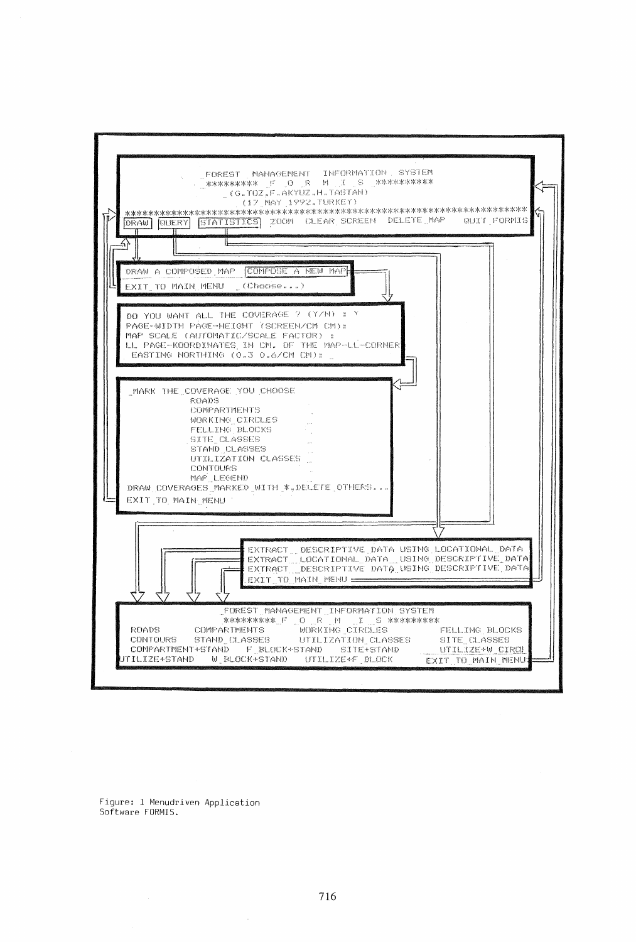

Figure: 1 Menudriven Application Software FORMIS.

 $\bar{z}$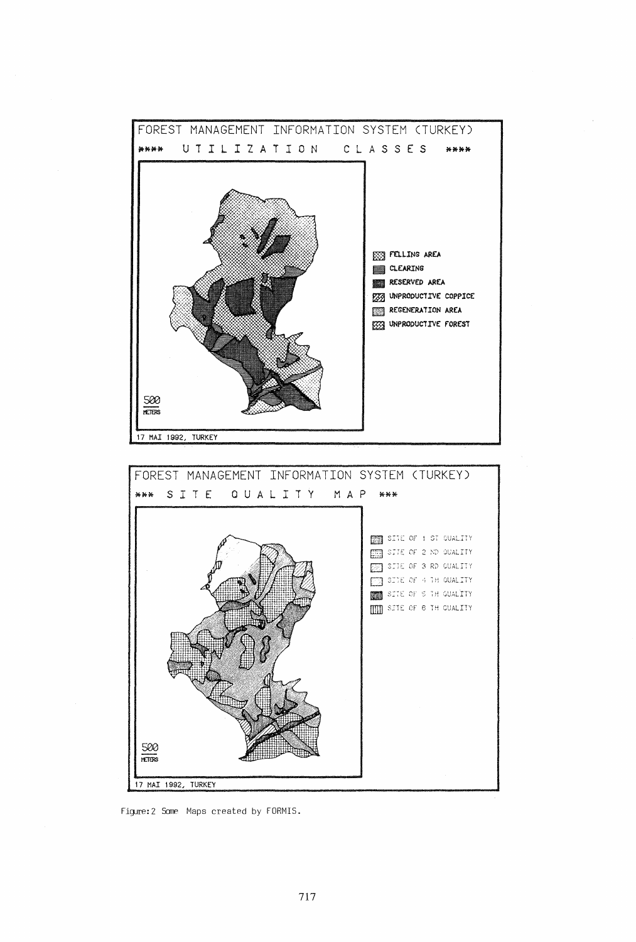

Figure: 2 Some Maps created by FORMIS.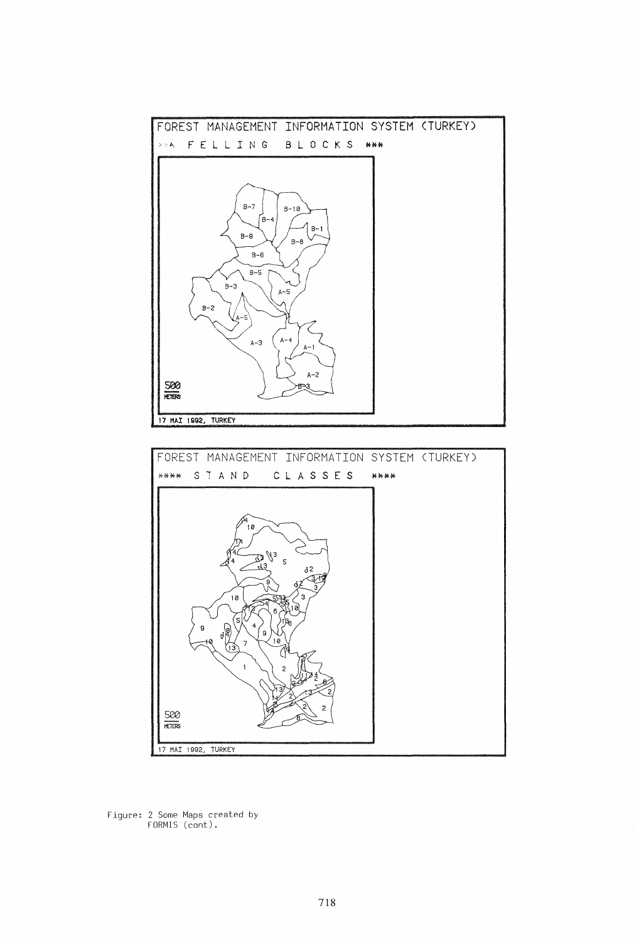



Figure: 2 Some Maps created by FORMIS (cant).